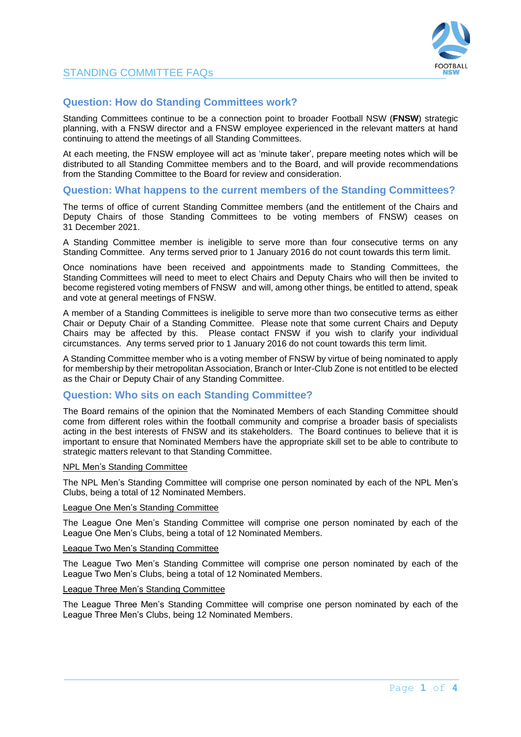# **Question: How do Standing Committees work?**

Standing Committees continue to be a connection point to broader Football NSW (**FNSW**) strategic planning, with a FNSW director and a FNSW employee experienced in the relevant matters at hand continuing to attend the meetings of all Standing Committees.

At each meeting, the FNSW employee will act as 'minute taker', prepare meeting notes which will be distributed to all Standing Committee members and to the Board, and will provide recommendations from the Standing Committee to the Board for review and consideration.

# **Question: What happens to the current members of the Standing Committees?**

The terms of office of current Standing Committee members (and the entitlement of the Chairs and Deputy Chairs of those Standing Committees to be voting members of FNSW) ceases on 31 December 2021.

A Standing Committee member is ineligible to serve more than four consecutive terms on any Standing Committee. Any terms served prior to 1 January 2016 do not count towards this term limit.

Once nominations have been received and appointments made to Standing Committees, the Standing Committees will need to meet to elect Chairs and Deputy Chairs who will then be invited to become registered voting members of FNSW and will, among other things, be entitled to attend, speak and vote at general meetings of FNSW.

A member of a Standing Committees is ineligible to serve more than two consecutive terms as either Chair or Deputy Chair of a Standing Committee. Please note that some current Chairs and Deputy Chairs may be affected by this. Please contact FNSW if you wish to clarify your individual circumstances. Any terms served prior to 1 January 2016 do not count towards this term limit.

A Standing Committee member who is a voting member of FNSW by virtue of being nominated to apply for membership by their metropolitan Association, Branch or Inter-Club Zone is not entitled to be elected as the Chair or Deputy Chair of any Standing Committee.

## **Question: Who sits on each Standing Committee?**

The Board remains of the opinion that the Nominated Members of each Standing Committee should come from different roles within the football community and comprise a broader basis of specialists acting in the best interests of FNSW and its stakeholders. The Board continues to believe that it is important to ensure that Nominated Members have the appropriate skill set to be able to contribute to strategic matters relevant to that Standing Committee.

#### NPL Men's Standing Committee

The NPL Men's Standing Committee will comprise one person nominated by each of the NPL Men's Clubs, being a total of 12 Nominated Members.

### League One Men's Standing Committee

The League One Men's Standing Committee will comprise one person nominated by each of the League One Men's Clubs, being a total of 12 Nominated Members.

### League Two Men's Standing Committee

The League Two Men's Standing Committee will comprise one person nominated by each of the League Two Men's Clubs, being a total of 12 Nominated Members.

#### League Three Men's Standing Committee

The League Three Men's Standing Committee will comprise one person nominated by each of the League Three Men's Clubs, being 12 Nominated Members.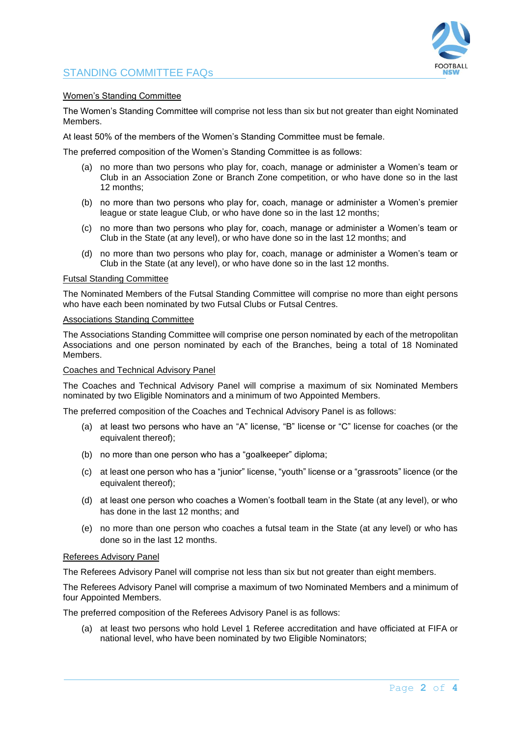

### Women's Standing Committee

The Women's Standing Committee will comprise not less than six but not greater than eight Nominated Members.

At least 50% of the members of the Women's Standing Committee must be female.

The preferred composition of the Women's Standing Committee is as follows:

- (a) no more than two persons who play for, coach, manage or administer a Women's team or Club in an Association Zone or Branch Zone competition, or who have done so in the last 12 months;
- (b) no more than two persons who play for, coach, manage or administer a Women's premier league or state league Club, or who have done so in the last 12 months;
- (c) no more than two persons who play for, coach, manage or administer a Women's team or Club in the State (at any level), or who have done so in the last 12 months; and
- (d) no more than two persons who play for, coach, manage or administer a Women's team or Club in the State (at any level), or who have done so in the last 12 months.

#### Futsal Standing Committee

The Nominated Members of the Futsal Standing Committee will comprise no more than eight persons who have each been nominated by two Futsal Clubs or Futsal Centres.

#### Associations Standing Committee

The Associations Standing Committee will comprise one person nominated by each of the metropolitan Associations and one person nominated by each of the Branches, being a total of 18 Nominated Members.

#### Coaches and Technical Advisory Panel

The Coaches and Technical Advisory Panel will comprise a maximum of six Nominated Members nominated by two Eligible Nominators and a minimum of two Appointed Members.

The preferred composition of the Coaches and Technical Advisory Panel is as follows:

- (a) at least two persons who have an "A" license, "B" license or "C" license for coaches (or the equivalent thereof):
- (b) no more than one person who has a "goalkeeper" diploma;
- (c) at least one person who has a "junior" license, "youth" license or a "grassroots" licence (or the equivalent thereof);
- (d) at least one person who coaches a Women's football team in the State (at any level), or who has done in the last 12 months; and
- (e) no more than one person who coaches a futsal team in the State (at any level) or who has done so in the last 12 months.

#### Referees Advisory Panel

The Referees Advisory Panel will comprise not less than six but not greater than eight members.

The Referees Advisory Panel will comprise a maximum of two Nominated Members and a minimum of four Appointed Members.

The preferred composition of the Referees Advisory Panel is as follows:

(a) at least two persons who hold Level 1 Referee accreditation and have officiated at FIFA or national level, who have been nominated by two Eligible Nominators;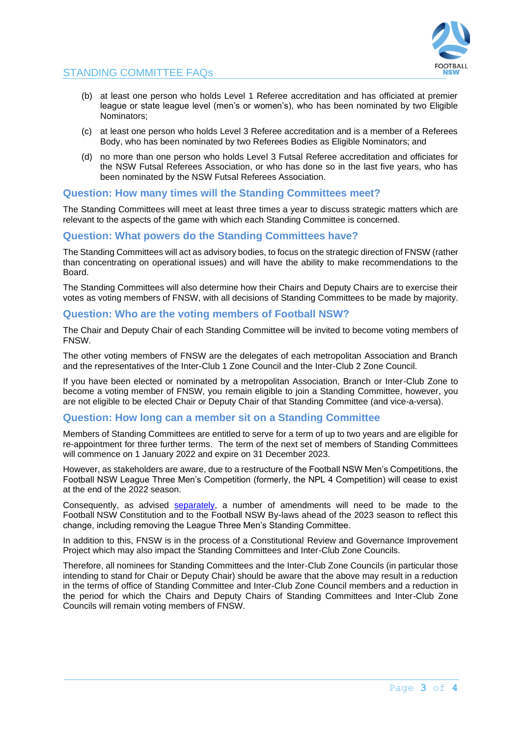

- (b) at least one person who holds Level 1 Referee accreditation and has officiated at premier league or state league level (men's or women's), who has been nominated by two Eligible Nominators;
- (c) at least one person who holds Level 3 Referee accreditation and is a member of a Referees Body, who has been nominated by two Referees Bodies as Eligible Nominators; and
- (d) no more than one person who holds Level 3 Futsal Referee accreditation and officiates for the NSW Futsal Referees Association, or who has done so in the last five years, who has been nominated by the NSW Futsal Referees Association.

## **Question: How many times will the Standing Committees meet?**

The Standing Committees will meet at least three times a year to discuss strategic matters which are relevant to the aspects of the game with which each Standing Committee is concerned.

# **Question: What powers do the Standing Committees have?**

The Standing Committees will act as advisory bodies, to focus on the strategic direction of FNSW (rather than concentrating on operational issues) and will have the ability to make recommendations to the Board.

The Standing Committees will also determine how their Chairs and Deputy Chairs are to exercise their votes as voting members of FNSW, with all decisions of Standing Committees to be made by majority.

## **Question: Who are the voting members of Football NSW?**

The Chair and Deputy Chair of each Standing Committee will be invited to become voting members of FNSW.

The other voting members of FNSW are the delegates of each metropolitan Association and Branch and the representatives of the Inter-Club 1 Zone Council and the Inter-Club 2 Zone Council.

If you have been elected or nominated by a metropolitan Association, Branch or Inter-Club Zone to become a voting member of FNSW, you remain eligible to join a Standing Committee, however, you are not eligible to be elected Chair or Deputy Chair of that Standing Committee (and vice-a-versa).

## **Question: How long can a member sit on a Standing Committee**

Members of Standing Committees are entitled to serve for a term of up to two years and are eligible for re-appointment for three further terms. The term of the next set of members of Standing Committees will commence on 1 January 2022 and expire on 31 December 2023.

However, as stakeholders are aware, due to a restructure of the Football NSW Men's Competitions, the Football NSW League Three Men's Competition (formerly, the NPL 4 Competition) will cease to exist at the end of the 2022 season.

Consequently, as advised [separately,](https://footballnsw.com.au/wp-content/uploads/2021/11/Letter-to-Members-02.11.2021.pdf) a number of amendments will need to be made to the Football NSW Constitution and to the Football NSW By-laws ahead of the 2023 season to reflect this change, including removing the League Three Men's Standing Committee.

In addition to this, FNSW is in the process of a Constitutional Review and Governance Improvement Project which may also impact the Standing Committees and Inter-Club Zone Councils.

Therefore, all nominees for Standing Committees and the Inter-Club Zone Councils (in particular those intending to stand for Chair or Deputy Chair) should be aware that the above may result in a reduction in the terms of office of Standing Committee and Inter-Club Zone Council members and a reduction in the period for which the Chairs and Deputy Chairs of Standing Committees and Inter-Club Zone Councils will remain voting members of FNSW.